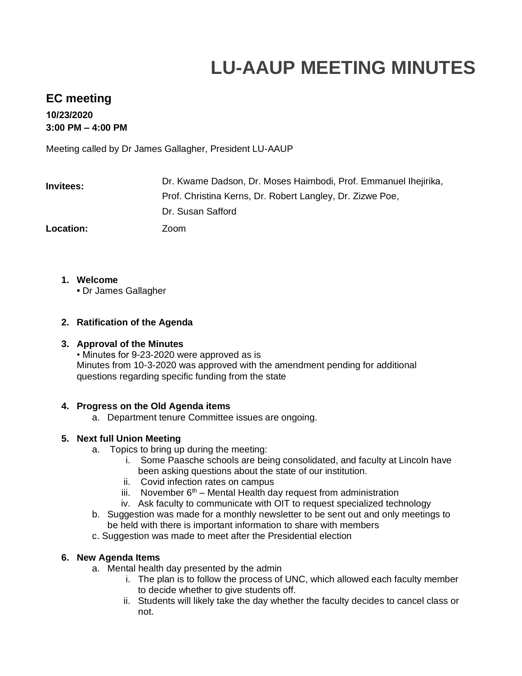# **LU-AAUP MEETING MINUTES**

## **EC meeting**

**10/23/2020 3:00 PM – 4:00 PM** 

Meeting called by Dr James Gallagher, President LU-AAUP

| <b>Invitees:</b> | Dr. Kwame Dadson, Dr. Moses Haimbodi, Prof. Emmanuel Ihejirika, |
|------------------|-----------------------------------------------------------------|
|                  | Prof. Christina Kerns, Dr. Robert Langley, Dr. Zizwe Poe,       |
|                  | Dr. Susan Safford                                               |
| <b>Location:</b> | Zoom                                                            |

- **1. Welcome**
	- **•** Dr James Gallagher

### **2. Ratification of the Agenda**

### **3. Approval of the Minutes**

• Minutes for 9-23-2020 were approved as is Minutes from 10-3-2020 was approved with the amendment pending for additional questions regarding specific funding from the state

### **4. Progress on the Old Agenda items**

a. Department tenure Committee issues are ongoing.

### **5. Next full Union Meeting**

- a. Topics to bring up during the meeting:
	- i. Some Paasche schools are being consolidated, and faculty at Lincoln have been asking questions about the state of our institution.
	- ii. Covid infection rates on campus
	- iii. November  $6<sup>th</sup>$  Mental Health day request from administration
	- iv. Ask faculty to communicate with OIT to request specialized technology
- b. Suggestion was made for a monthly newsletter to be sent out and only meetings to be held with there is important information to share with members
- c. Suggestion was made to meet after the Presidential election

#### **6. New Agenda Items**

- a. Mental health day presented by the admin
	- i. The plan is to follow the process of UNC, which allowed each faculty member to decide whether to give students off.
	- ii. Students will likely take the day whether the faculty decides to cancel class or not.